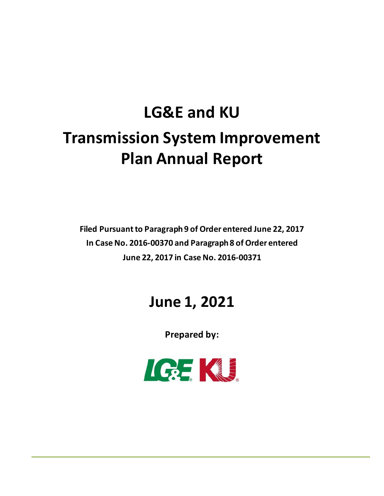# **LG&E and KU Transmission System Improvement Plan Annual Report**

**Filed Pursuant to Paragraph 9 of Order entered June 22, 2017 In Case No. 2016-00370 and Paragraph 8 of Order entered June 22, 2017 in Case No. 2016-00371**

## **June 1, 2021**

**Prepared by:**

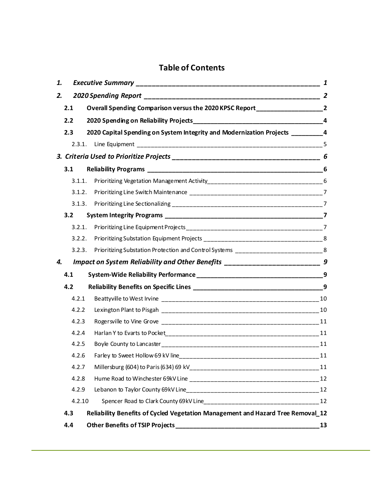### **Table of Contents**

| 1. |        |                                                                                     |    |  |
|----|--------|-------------------------------------------------------------------------------------|----|--|
| 2. |        |                                                                                     |    |  |
|    | 2.1    | Overall Spending Comparison versus the 2020 KPSC Report ________________________2   |    |  |
|    | 2.2    |                                                                                     |    |  |
|    | 2.3    | 2020 Capital Spending on System Integrity and Modernization Projects ___________4   |    |  |
|    |        |                                                                                     |    |  |
|    |        |                                                                                     |    |  |
|    | 3.1    |                                                                                     | 6  |  |
|    | 3.1.1. |                                                                                     |    |  |
|    | 3.1.2. |                                                                                     |    |  |
|    | 3.1.3. |                                                                                     |    |  |
|    | 3.2    |                                                                                     |    |  |
|    | 3.2.1. |                                                                                     |    |  |
|    | 3.2.2. |                                                                                     |    |  |
|    | 3.2.3. | Prioritizing Substation Protection and Control Systems ___________________________8 |    |  |
| 4. |        | Impact on System Reliability and Other Benefits _________________________________ 9 |    |  |
|    | 4.1    |                                                                                     |    |  |
|    | 4.2    |                                                                                     |    |  |
|    | 4.2.1  |                                                                                     |    |  |
|    | 4.2.2  |                                                                                     |    |  |
|    | 4.2.3  |                                                                                     |    |  |
|    | 4.2.4  |                                                                                     |    |  |
|    | 4.2.5  |                                                                                     |    |  |
|    | 4.2.6  | Farley to Sweet Hollow 69 kV line                                                   | 11 |  |
|    | 4.2.7  |                                                                                     |    |  |
|    | 4.2.8  |                                                                                     |    |  |
|    | 4.2.9  |                                                                                     |    |  |
|    | 4.2.10 |                                                                                     |    |  |
|    | 4.3    | Reliability Benefits of Cycled Vegetation Management and Hazard Tree Removal 12     |    |  |
|    | 4.4    |                                                                                     | 13 |  |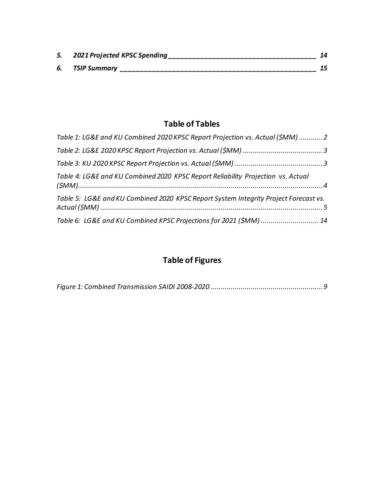| 5. 2021 Projected KPSC Spending |  |
|---------------------------------|--|
| 6. TSIP Summary                 |  |

### **Table of Tables**

| Table 1: LG&E and KU Combined 2020 KPSC Report Projection vs. Actual (\$MM) 2        |  |
|--------------------------------------------------------------------------------------|--|
|                                                                                      |  |
|                                                                                      |  |
| Table 4: LG&E and KU Combined 2020 KPSC Report Reliability Projection vs. Actual     |  |
| Table 5: LG&E and KU Combined 2020 KPSC Report System Integrity Project Forecast vs. |  |
| Table 6: LG&E and KU Combined KPSC Projections for 2021 (\$MM) 14                    |  |

### **Table of Figures**

|--|--|--|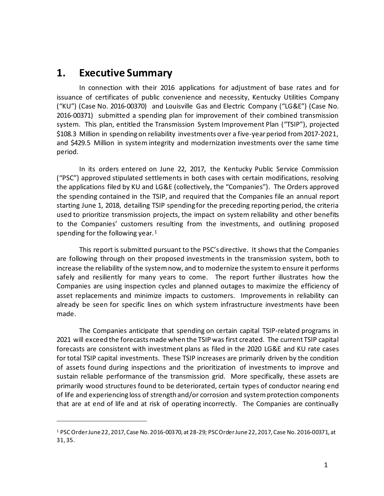### <span id="page-3-0"></span>**1. Executive Summary**

In connection with their 2016 applications for adjustment of base rates and for issuance of certificates of public convenience and necessity, Kentucky Utilities Company ("KU") (Case No. 2016-00370) and Louisville Gas and Electric Company ("LG&E") (Case No. 2016-00371) submitted a spending plan for improvement of their combined transmission system. This plan, entitled the Transmission System Improvement Plan ("TSIP"), projected \$108.3 Million in spending on reliability investments over a five-year period from 2017-2021, and \$429.5 Million in system integrity and modernization investments over the same time period.

In its orders entered on June 22, 2017, the Kentucky Public Service Commission ("PSC") approved stipulated settlements in both cases with certain modifications, resolving the applications filed by KU and LG&E (collectively, the "Companies"). The Orders approved the spending contained in the TSIP, and required that the Companies file an annual report starting June 1, 2018, detailing TSIP spending for the preceding reporting period, the criteria used to prioritize transmission projects, the impact on system reliability and other benefits to the Companies' customers resulting from the investments, and outlining proposed spending for the following year. $1$ 

This report is submitted pursuant to the PSC's directive. It shows that the Companies are following through on their proposed investments in the transmission system, both to increase the reliability of the system now, and to modernize the system to ensure it performs safely and resiliently for many years to come. The report further illustrates how the Companies are using inspection cycles and planned outages to maximize the efficiency of asset replacements and minimize impacts to customers. Improvements in reliability can already be seen for specific lines on which system infrastructure investments have been made.

The Companies anticipate that spending on certain capital TSIP-related programs in 2021 will exceed the forecasts made when the TSIP was first created. The current TSIP capital forecasts are consistent with investment plans as filed in the 2020 LG&E and KU rate cases for total TSIP capital investments. These TSIP increases are primarily driven by the condition of assets found during inspections and the prioritization of investments to improve and sustain reliable performance of the transmission grid. More specifically, these assets are primarily wood structures found to be deteriorated, certain types of conductor nearing end of life and experiencing loss of strength and/or corrosion and system protection components that are at end of life and at risk of operating incorrectly. The Companies are continually

<span id="page-3-1"></span><sup>1</sup> PSC Order June 22, 2017, Case No. 2016-00370, at 28-29; PSC Order June 22, 2017, Case No. 2016-00371, at 31, 35.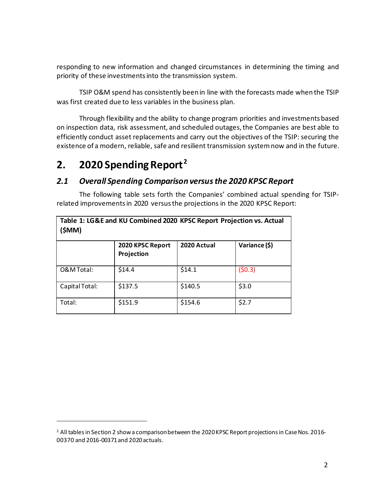responding to new information and changed circumstances in determining the timing and priority of these investments into the transmission system.

TSIP O&M spend has consistently been in line with the forecasts made when the TSIP was first created due to less variables in the business plan.

Through flexibility and the ability to change program priorities and investments based on inspection data, risk assessment, and scheduled outages, the Companies are best able to efficiently conduct asset replacements and carry out the objectives of the TSIP: securing the existence of a modern, reliable, safe and resilient transmission system now and in the future.

### <span id="page-4-0"></span>**2. 2020 Spending Report[2](#page-4-2)**

### <span id="page-4-1"></span>*2.1 Overall Spending Comparison versus the 2020 KPSC Report*

The following table sets forth the Companies' combined actual spending for TSIPrelated improvementsin 2020 versus the projections in the 2020 KPSC Report:

| Table 1: LG&E and KU Combined 2020 KPSC Report Projection vs. Actual<br>(\$MM) |                                |             |               |
|--------------------------------------------------------------------------------|--------------------------------|-------------|---------------|
|                                                                                | 2020 KPSC Report<br>Projection | 2020 Actual | Variance (\$) |
| O&M Total:                                                                     | \$14.4                         | \$14.1      | (50.3)        |
| Capital Total:                                                                 | \$137.5                        | \$140.5     | \$3.0         |
| Total:                                                                         | \$151.9                        | \$154.6     | \$2.7         |

<span id="page-4-2"></span> $2$  All tables in Section 2 show a comparison between the 2020 KPSC Report projections in Case Nos. 2016-00370 and 2016-00371 and 2020 actuals.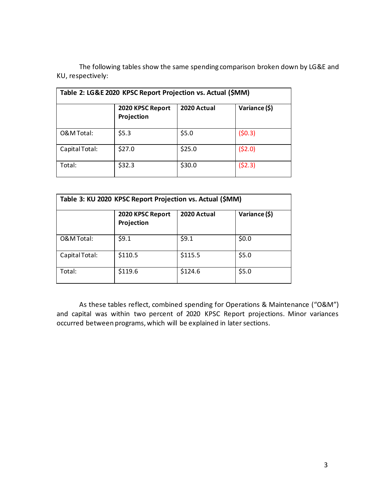The following tables show the same spending comparison broken down by LG&E and KU, respectively:

| Table 2: LG&E 2020 KPSC Report Projection vs. Actual (\$MM) |                                |             |               |
|-------------------------------------------------------------|--------------------------------|-------------|---------------|
|                                                             | 2020 KPSC Report<br>Projection | 2020 Actual | Variance (\$) |
| O&M Total:                                                  | \$5.3                          | \$5.0       | (50.3)        |
| Capital Total:                                              | \$27.0                         | \$25.0      | (52.0)        |
| Total:                                                      | \$32.3                         | \$30.0      | (52.3)        |

| Table 3: KU 2020 KPSC Report Projection vs. Actual (\$MM) |                                |             |               |
|-----------------------------------------------------------|--------------------------------|-------------|---------------|
|                                                           | 2020 KPSC Report<br>Projection | 2020 Actual | Variance (\$) |
| O&M Total:                                                | \$9.1                          | \$9.1       | \$0.0         |
| Capital Total:                                            | \$110.5                        | \$115.5     | \$5.0         |
| Total:                                                    | \$119.6                        | \$124.6     | \$5.0         |

As these tables reflect, combined spending for Operations & Maintenance ("O&M") and capital was within two percent of 2020 KPSC Report projections. Minor variances occurred between programs, which will be explained in later sections.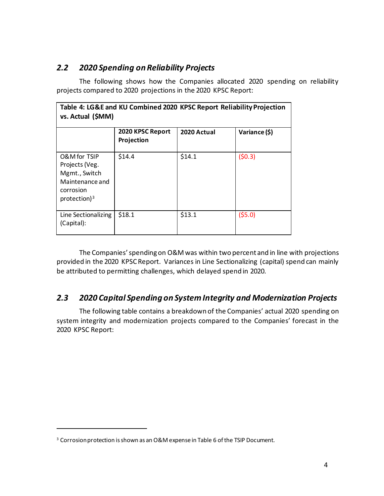### <span id="page-6-0"></span>*2.2 2020 Spending on Reliability Projects*

The following shows how the Companies allocated 2020 spending on reliability projects compared to 2020 projections in the 2020 KPSC Report:

| Table 4: LG&E and KU Combined 2020 KPSC Report Reliability Projection<br>vs. Actual (\$MM)         |                                |             |               |
|----------------------------------------------------------------------------------------------------|--------------------------------|-------------|---------------|
|                                                                                                    | 2020 KPSC Report<br>Projection | 2020 Actual | Variance (\$) |
| O&M for TSIP<br>Projects (Veg.<br>Mgmt., Switch<br>Maintenance and<br>corrosion<br>protection) $3$ | \$14.4                         | \$14.1      | (50.3)        |
| Line Sectionalizing<br>(Capital):                                                                  | \$18.1                         | \$13.1      | (55.0)        |

The Companies' spending on O&M was within two percent and in line with projections provided in the 2020 KPSC Report. Variances in Line Sectionalizing (capital) spend can mainly be attributed to permitting challenges, which delayed spend in 2020.

### <span id="page-6-1"></span>*2.3 2020 Capital Spending on System Integrity and Modernization Projects*

The following table contains a breakdown of the Companies' actual 2020 spending on system integrity and modernization projects compared to the Companies' forecast in the 2020 KPSC Report:

<span id="page-6-2"></span><sup>&</sup>lt;sup>3</sup> Corrosion protection is shown as an O&M expense in Table 6 of the TSIP Document.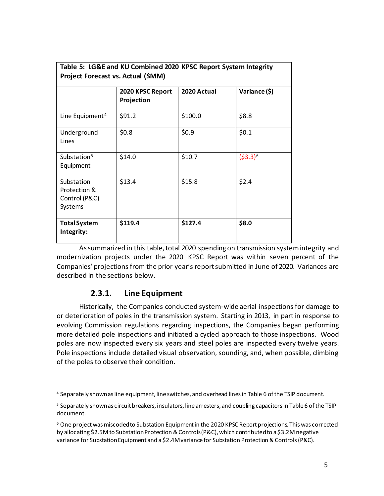| Table 5: LG&E and KU Combined 2020 KPSC Report System Integrity<br>Project Forecast vs. Actual (\$MM) |                                |             |               |
|-------------------------------------------------------------------------------------------------------|--------------------------------|-------------|---------------|
|                                                                                                       | 2020 KPSC Report<br>Projection | 2020 Actual | Variance (\$) |
| Line Equipment <sup>4</sup>                                                                           | \$91.2                         | \$100.0     | \$8.8         |
| Underground<br>Lines                                                                                  | \$0.8\$                        | \$0.9       | \$0.1         |
| Substation <sup>5</sup><br>Equipment                                                                  | \$14.0                         | \$10.7      | $(53.3)^6$    |
| Substation<br>Protection &<br>Control (P&C)<br>Systems                                                | \$13.4                         | \$15.8      | \$2.4         |
| <b>Total System</b><br>Integrity:                                                                     | \$119.4                        | \$127.4     | \$8.0         |

**Table 5: LG&E and KU Combined 2020 KPSC Report System Integrity** 

As summarized in this table, total 2020 spending on transmission system integrity and modernization projects under the 2020 KPSC Report was within seven percent of the Companies' projections from the prior year's report submitted in June of 2020. Variances are described in the sections below.

### **2.3.1. Line Equipment**

<span id="page-7-0"></span>Historically, the Companies conducted system-wide aerial inspections for damage to or deterioration of poles in the transmission system. Starting in 2013, in part in response to evolving Commission regulations regarding inspections, the Companies began performing more detailed pole inspections and initiated a cycled approach to those inspections. Wood poles are now inspected every six years and steel poles are inspected every twelve years. Pole inspections include detailed visual observation, sounding, and, when possible, climbing of the poles to observe their condition.

<span id="page-7-1"></span><sup>4</sup> Separately shown as line equipment, line switches, and overhead lines in Table 6 of the TSIP document.

<span id="page-7-2"></span><sup>5</sup> Separately shown as circuit breakers, insulators, line arresters, and coupling capacitors in Table 6 of the TSIP document.

<span id="page-7-3"></span> $6$  One project was miscoded to Substation Equipment in the 2020 KPSC Report projections. This was corrected by allocating \$2.5M to Substation Protection & Controls (P&C), which contributed to a \$3.2M negative variance for Substation Equipment and a \$2.4M variance for Substation Protection & Controls (P&C).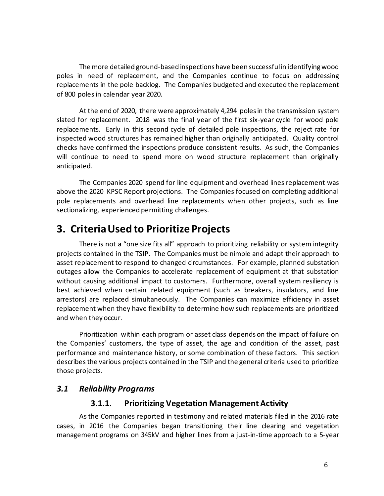The more detailed ground-based inspections have been successful in identifying wood poles in need of replacement, and the Companies continue to focus on addressing replacements in the pole backlog. The Companies budgeted and executed the replacement of 800 poles in calendar year 2020.

At the end of 2020, there were approximately 4,294 poles in the transmission system slated for replacement. 2018 was the final year of the first six-year cycle for wood pole replacements. Early in this second cycle of detailed pole inspections, the reject rate for inspected wood structures has remained higher than originally anticipated. Quality control checks have confirmed the inspections produce consistent results. As such, the Companies will continue to need to spend more on wood structure replacement than originally anticipated.

The Companies 2020 spend for line equipment and overhead lines replacement was above the 2020 KPSC Report projections. The Companies focused on completing additional pole replacements and overhead line replacements when other projects, such as line sectionalizing, experienced permitting challenges.

### <span id="page-8-0"></span>**3. Criteria Used to Prioritize Projects**

There is not a "one size fits all" approach to prioritizing reliability or system integrity projects contained in the TSIP. The Companies must be nimble and adapt their approach to asset replacement to respond to changed circumstances. For example, planned substation outages allow the Companies to accelerate replacement of equipment at that substation without causing additional impact to customers. Furthermore, overall system resiliency is best achieved when certain related equipment (such as breakers, insulators, and line arrestors) are replaced simultaneously. The Companies can maximize efficiency in asset replacement when they have flexibility to determine how such replacements are prioritized and when they occur.

Prioritization within each program or asset class depends on the impact of failure on the Companies' customers, the type of asset, the age and condition of the asset, past performance and maintenance history, or some combination of these factors. This section describes the various projects contained in the TSIP and the general criteria used to prioritize those projects.

### <span id="page-8-2"></span><span id="page-8-1"></span>*3.1 Reliability Programs*

### **3.1.1. Prioritizing Vegetation Management Activity**

As the Companies reported in testimony and related materials filed in the 2016 rate cases, in 2016 the Companies began transitioning their line clearing and vegetation management programs on 345kV and higher lines from a just-in-time approach to a 5-year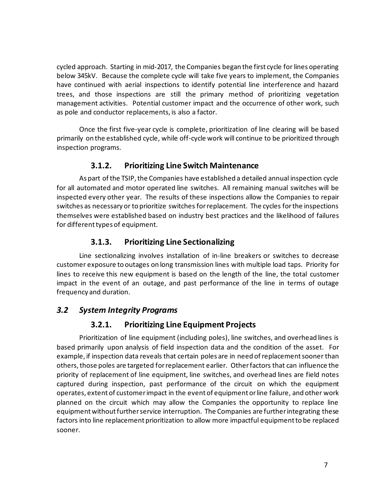cycled approach. Starting in mid-2017, the Companies began the first cycle for lines operating below 345kV. Because the complete cycle will take five years to implement, the Companies have continued with aerial inspections to identify potential line interference and hazard trees, and those inspections are still the primary method of prioritizing vegetation management activities. Potential customer impact and the occurrence of other work, such as pole and conductor replacements, is also a factor.

Once the first five-year cycle is complete, prioritization of line clearing will be based primarily on the established cycle, while off-cycle work will continue to be prioritized through inspection programs.

### **3.1.2. Prioritizing Line Switch Maintenance**

<span id="page-9-0"></span>As part of the TSIP, the Companies have established a detailed annual inspection cycle for all automated and motor operated line switches. All remaining manual switches will be inspected every other year. The results of these inspections allow the Companies to repair switches as necessary or to prioritize switches for replacement. The cycles for the inspections themselves were established based on industry best practices and the likelihood of failures for different types of equipment.

### **3.1.3. Prioritizing Line Sectionalizing**

<span id="page-9-1"></span>Line sectionalizing involves installation of in-line breakers or switches to decrease customer exposure to outages on long transmission lines with multiple load taps. Priority for lines to receive this new equipment is based on the length of the line, the total customer impact in the event of an outage, and past performance of the line in terms of outage frequency and duration.

### <span id="page-9-3"></span><span id="page-9-2"></span>*3.2 System Integrity Programs*

### **3.2.1. Prioritizing Line Equipment Projects**

Prioritization of line equipment (including poles), line switches, and overhead lines is based primarily upon analysis of field inspection data and the condition of the asset. For example, if inspection data reveals that certain poles are in need of replacement sooner than others, those poles are targeted for replacement earlier. Other factors that can influence the priority of replacement of line equipment, line switches, and overhead lines are field notes captured during inspection, past performance of the circuit on which the equipment operates, extent of customer impact in the event of equipment or line failure, and other work planned on the circuit which may allow the Companies the opportunity to replace line equipment without further service interruption. The Companies are further integrating these factors into line replacement prioritization to allow more impactful equipment to be replaced sooner.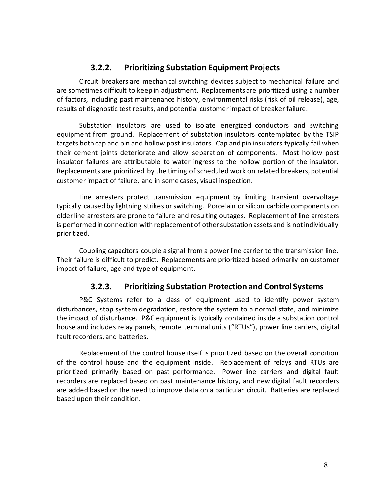### **3.2.2. Prioritizing Substation Equipment Projects**

<span id="page-10-0"></span>Circuit breakers are mechanical switching devices subject to mechanical failure and are sometimes difficult to keep in adjustment. Replacements are prioritized using a number of factors, including past maintenance history, environmental risks (risk of oil release), age, results of diagnostic test results, and potential customer impact of breaker failure.

Substation insulators are used to isolate energized conductors and switching equipment from ground. Replacement of substation insulators contemplated by the TSIP targets both cap and pin and hollow post insulators. Cap and pin insulators typically fail when their cement joints deteriorate and allow separation of components. Most hollow post insulator failures are attributable to water ingress to the hollow portion of the insulator. Replacements are prioritized by the timing of scheduled work on related breakers, potential customer impact of failure, and in some cases, visual inspection.

Line arresters protect transmission equipment by limiting transient overvoltage typically caused by lightning strikes or switching. Porcelain or silicon carbide components on older line arresters are prone to failure and resulting outages. Replacement of line arresters is performed in connection with replacement of other substation assets and is not individually prioritized.

Coupling capacitors couple a signal from a power line carrier to the transmission line. Their failure is difficult to predict. Replacements are prioritized based primarily on customer impact of failure, age and type of equipment.

### **3.2.3. Prioritizing Substation Protection and Control Systems**

<span id="page-10-1"></span>P&C Systems refer to a class of equipment used to identify power system disturbances, stop system degradation, restore the system to a normal state, and minimize the impact of disturbance. P&C equipment is typically contained inside a substation control house and includes relay panels, remote terminal units ("RTUs"), power line carriers, digital fault recorders, and batteries.

Replacement of the control house itself is prioritized based on the overall condition of the control house and the equipment inside. Replacement of relays and RTUs are prioritized primarily based on past performance. Power line carriers and digital fault recorders are replaced based on past maintenance history, and new digital fault recorders are added based on the need to improve data on a particular circuit. Batteries are replaced based upon their condition.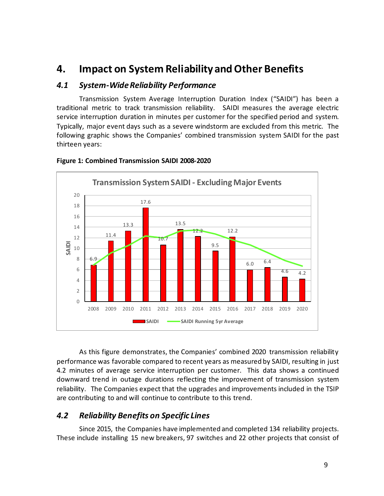### <span id="page-11-0"></span>**4. Impact on System Reliability and Other Benefits**

### <span id="page-11-1"></span>*4.1 System-Wide Reliability Performance*

Transmission System Average Interruption Duration Index ("SAIDI") has been a traditional metric to track transmission reliability. SAIDI measures the average electric service interruption duration in minutes per customer for the specified period and system. Typically, major event days such as a severe windstorm are excluded from this metric. The following graphic shows the Companies' combined transmission system SAIDI for the past thirteen years:



#### <span id="page-11-3"></span>**Figure 1: Combined Transmission SAIDI 2008-2020**

As this figure demonstrates, the Companies' combined 2020 transmission reliability performance was favorable compared to recent years as measured by SAIDI, resulting in just 4.2 minutes of average service interruption per customer. This data shows a continued downward trend in outage durations reflecting the improvement of transmission system reliability. The Companies expect that the upgrades and improvements included in the TSIP are contributing to and will continue to contribute to this trend.

### <span id="page-11-2"></span>*4.2 Reliability Benefits on Specific Lines*

Since 2015, the Companies have implemented and completed 134 reliability projects. These include installing 15 new breakers, 97 switches and 22 other projects that consist of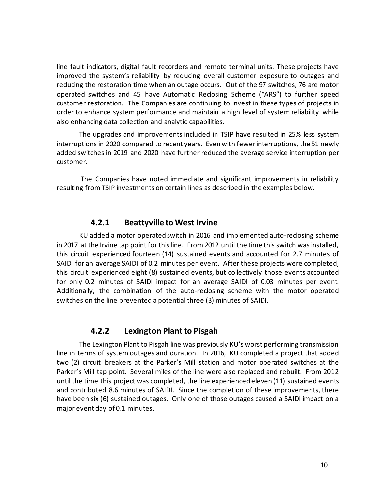line fault indicators, digital fault recorders and remote terminal units. These projects have improved the system's reliability by reducing overall customer exposure to outages and reducing the restoration time when an outage occurs. Out of the 97 switches, 76 are motor operated switches and 45 have Automatic Reclosing Scheme ("ARS") to further speed customer restoration. The Companies are continuing to invest in these types of projects in order to enhance system performance and maintain a high level of system reliability while also enhancing data collection and analytic capabilities.

The upgrades and improvements included in TSIP have resulted in 25% less system interruptions in 2020 compared to recent years. Even with fewer interruptions, the 51 newly added switches in 2019 and 2020 have further reduced the average service interruption per customer.

The Companies have noted immediate and significant improvements in reliability resulting from TSIP investments on certain lines as described in the examples below.

#### **4.2.1 Beattyville to West Irvine**

<span id="page-12-0"></span>KU added a motor operated switch in 2016 and implemented auto-reclosing scheme in 2017 at the Irvine tap point for this line. From 2012 until the time this switch was installed, this circuit experienced fourteen (14) sustained events and accounted for 2.7 minutes of SAIDI for an average SAIDI of 0.2 minutes per event. After these projects were completed, this circuit experienced eight (8) sustained events, but collectively those events accounted for only 0.2 minutes of SAIDI impact for an average SAIDI of 0.03 minutes per event. Additionally, the combination of the auto-reclosing scheme with the motor operated switches on the line prevented a potential three (3) minutes of SAIDI.

### **4.2.2 Lexington Plant to Pisgah**

<span id="page-12-1"></span>The Lexington Plant to Pisgah line was previously KU's worst performing transmission line in terms of system outages and duration. In 2016, KU completed a project that added two (2) circuit breakers at the Parker's Mill station and motor operated switches at the Parker's Mill tap point. Several miles of the line were also replaced and rebuilt. From 2012 until the time this project was completed, the line experienced eleven (11) sustained events and contributed 8.6 minutes of SAIDI. Since the completion of these improvements, there have been six (6) sustained outages. Only one of those outages caused a SAIDI impact on a major event day of 0.1 minutes.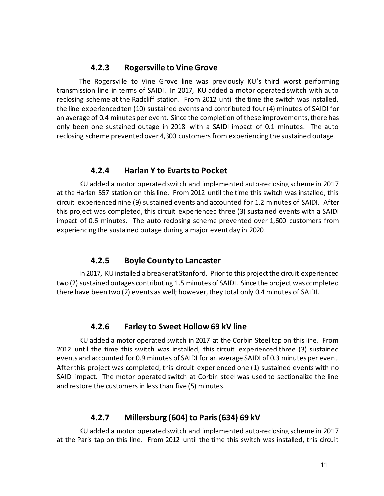#### **4.2.3 Rogersville to Vine Grove**

<span id="page-13-0"></span>The Rogersville to Vine Grove line was previously KU's third worst performing transmission line in terms of SAIDI. In 2017, KU added a motor operated switch with auto reclosing scheme at the Radcliff station. From 2012 until the time the switch was installed, the line experienced ten (10) sustained events and contributed four (4) minutes of SAIDI for an average of 0.4 minutes per event. Since the completion of these improvements, there has only been one sustained outage in 2018 with a SAIDI impact of 0.1 minutes. The auto reclosing scheme prevented over 4,300 customers from experiencing the sustained outage.

#### **4.2.4 Harlan Y to Evarts to Pocket**

<span id="page-13-1"></span>KU added a motor operated switch and implemented auto-reclosing scheme in 2017 at the Harlan 557 station on this line. From 2012 until the time this switch was installed, this circuit experienced nine (9) sustained events and accounted for 1.2 minutes of SAIDI. After this project was completed, this circuit experienced three (3) sustained events with a SAIDI impact of 0.6 minutes. The auto reclosing scheme prevented over 1,600 customers from experiencing the sustained outage during a major event day in 2020.

#### **4.2.5 Boyle County to Lancaster**

<span id="page-13-2"></span>In 2017, KU installed a breaker at Stanford. Prior to this project the circuit experienced two (2) sustained outages contributing 1.5 minutes of SAIDI. Since the project was completed there have been two (2) events as well; however, they total only 0.4 minutes of SAIDI.

#### **4.2.6 Farley to Sweet Hollow 69 kV line**

<span id="page-13-3"></span>KU added a motor operated switch in 2017 at the Corbin Steel tap on this line. From 2012 until the time this switch was installed, this circuit experienced three (3) sustained events and accounted for 0.9 minutes of SAIDI for an average SAIDI of 0.3 minutes per event. After this project was completed, this circuit experienced one (1) sustained events with no SAIDI impact. The motor operated switch at Corbin steel was used to sectionalize the line and restore the customers in less than five (5) minutes.

#### **4.2.7 Millersburg (604) to Paris (634) 69 kV**

<span id="page-13-4"></span>KU added a motor operated switch and implemented auto-reclosing scheme in 2017 at the Paris tap on this line. From 2012 until the time this switch was installed, this circuit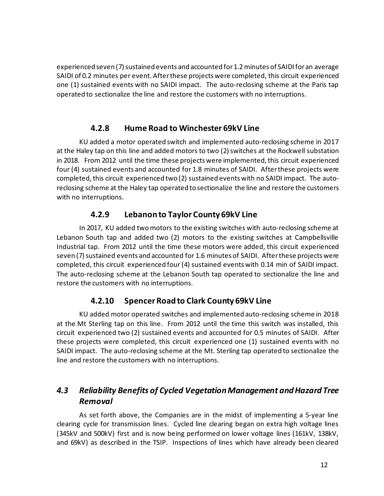experienced seven (7) sustained events and accounted for 1.2 minutes of SAIDI for an average SAIDI of 0.2 minutes per event. After these projects were completed, this circuit experienced one (1) sustained events with no SAIDI impact. The auto-reclosing scheme at the Paris tap operated to sectionalize the line and restore the customers with no interruptions.

### **4.2.8 Hume Road to Winchester 69kV Line**

<span id="page-14-0"></span>KU added a motor operated switch and implemented auto-reclosing scheme in 2017 at the Haley tap on this line and added motors to two (2) switches at the Rockwell substation in 2018. From 2012 until the time these projects were implemented, this circuit experienced four (4) sustained events and accounted for 1.8 minutes of SAIDI. After these projects were completed, this circuit experienced two (2) sustained events with no SAIDI impact. The autoreclosing scheme at the Haley tap operated to sectionalize the line and restore the customers with no interruptions.

### **4.2.9 Lebanon to Taylor County 69kV Line**

<span id="page-14-1"></span>In 2017, KU added two motors to the existing switches with auto-reclosing scheme at Lebanon South tap and added two (2) motors to the existing switches at Campbellsville Industrial tap. From 2012 until the time these motors were added, this circuit experienced seven (7) sustained events and accounted for 1.6 minutes of SAIDI. After these projects were completed, this circuit experienced four (4) sustained events with 0.14 min of SAIDI impact. The auto-reclosing scheme at the Lebanon South tap operated to sectionalize the line and restore the customers with no interruptions.

### **4.2.10 Spencer Road to Clark County 69kV Line**

<span id="page-14-2"></span>KU added motor operated switches and implemented auto-reclosing scheme in 2018 at the Mt Sterling tap on this line. From 2012 until the time this switch was installed, this circuit experienced two (2) sustained events and accounted for 0.5 minutes of SAIDI. After these projects were completed, this circuit experienced one (1) sustained events with no SAIDI impact. The auto-reclosing scheme at the Mt. Sterling tap operated to sectionalize the line and restore the customers with no interruptions.

### <span id="page-14-3"></span>*4.3 Reliability Benefits of Cycled Vegetation Management and Hazard Tree Removal*

As set forth above, the Companies are in the midst of implementing a 5-year line clearing cycle for transmission lines. Cycled line clearing began on extra high voltage lines (345kV and 500kV) first and is now being performed on lower voltage lines (161kV, 138kV, and 69kV) as described in the TSIP. Inspections of lines which have already been cleared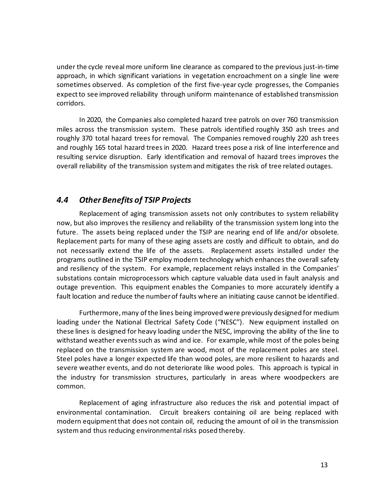under the cycle reveal more uniform line clearance as compared to the previous just-in-time approach, in which significant variations in vegetation encroachment on a single line were sometimes observed. As completion of the first five-year cycle progresses, the Companies expect to see improved reliability through uniform maintenance of established transmission corridors.

In 2020, the Companies also completed hazard tree patrols on over 760 transmission miles across the transmission system. These patrols identified roughly 350 ash trees and roughly 370 total hazard trees for removal. The Companies removed roughly 220 ash trees and roughly 165 total hazard trees in 2020. Hazard trees pose a risk of line interference and resulting service disruption. Early identification and removal of hazard trees improves the overall reliability of the transmission system and mitigates the risk of tree related outages.

### <span id="page-15-0"></span>*4.4 Other Benefits of TSIP Projects*

Replacement of aging transmission assets not only contributes to system reliability now, but also improves the resiliency and reliability of the transmission system long into the future. The assets being replaced under the TSIP are nearing end of life and/or obsolete. Replacement parts for many of these aging assets are costly and difficult to obtain, and do not necessarily extend the life of the assets. Replacement assets installed under the programs outlined in the TSIP employ modern technology which enhances the overall safety and resiliency of the system. For example, replacement relays installed in the Companies' substations contain microprocessors which capture valuable data used in fault analysis and outage prevention. This equipment enables the Companies to more accurately identify a fault location and reduce the number of faults where an initiating cause cannot be identified.

Furthermore, many of the lines being improved were previously designed for medium loading under the National Electrical Safety Code ("NESC"). New equipment installed on these lines is designed for heavy loading under the NESC, improving the ability of the line to withstand weather events such as wind and ice. For example, while most of the poles being replaced on the transmission system are wood, most of the replacement poles are steel. Steel poles have a longer expected life than wood poles, are more resilient to hazards and severe weather events, and do not deteriorate like wood poles. This approach is typical in the industry for transmission structures, particularly in areas where woodpeckers are common.

Replacement of aging infrastructure also reduces the risk and potential impact of environmental contamination. Circuit breakers containing oil are being replaced with modern equipment that does not contain oil, reducing the amount of oil in the transmission system and thus reducing environmental risks posed thereby.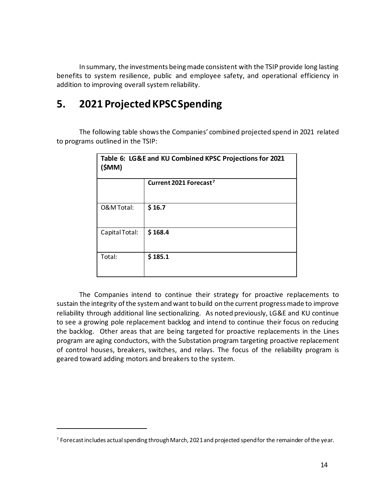In summary, the investments being made consistent with the TSIP provide long lasting benefits to system resilience, public and employee safety, and operational efficiency in addition to improving overall system reliability.

### <span id="page-16-0"></span>**5. 2021 Projected KPSCSpending**

The following table shows the Companies' combined projected spend in 2021 related to programs outlined in the TSIP:

| Table 6: LG&E and KU Combined KPSC Projections for 2021<br>(\$MM) |                                    |  |
|-------------------------------------------------------------------|------------------------------------|--|
|                                                                   | Current 2021 Forecast <sup>7</sup> |  |
| O&M Total:                                                        | \$16.7                             |  |
| Capital Total:                                                    | \$168.4                            |  |
| Total:                                                            | \$185.1                            |  |

The Companies intend to continue their strategy for proactive replacements to sustain the integrity of the system and want to build on the current progress made to improve reliability through additional line sectionalizing. As noted previously, LG&E and KU continue to see a growing pole replacement backlog and intend to continue their focus on reducing the backlog. Other areas that are being targeted for proactive replacements in the Lines program are aging conductors, with the Substation program targeting proactive replacement of control houses, breakers, switches, and relays. The focus of the reliability program is geared toward adding motors and breakers to the system.

<span id="page-16-1"></span> $7$  Forecast includes actual spending through March, 2021 and projected spend for the remainder of the year.